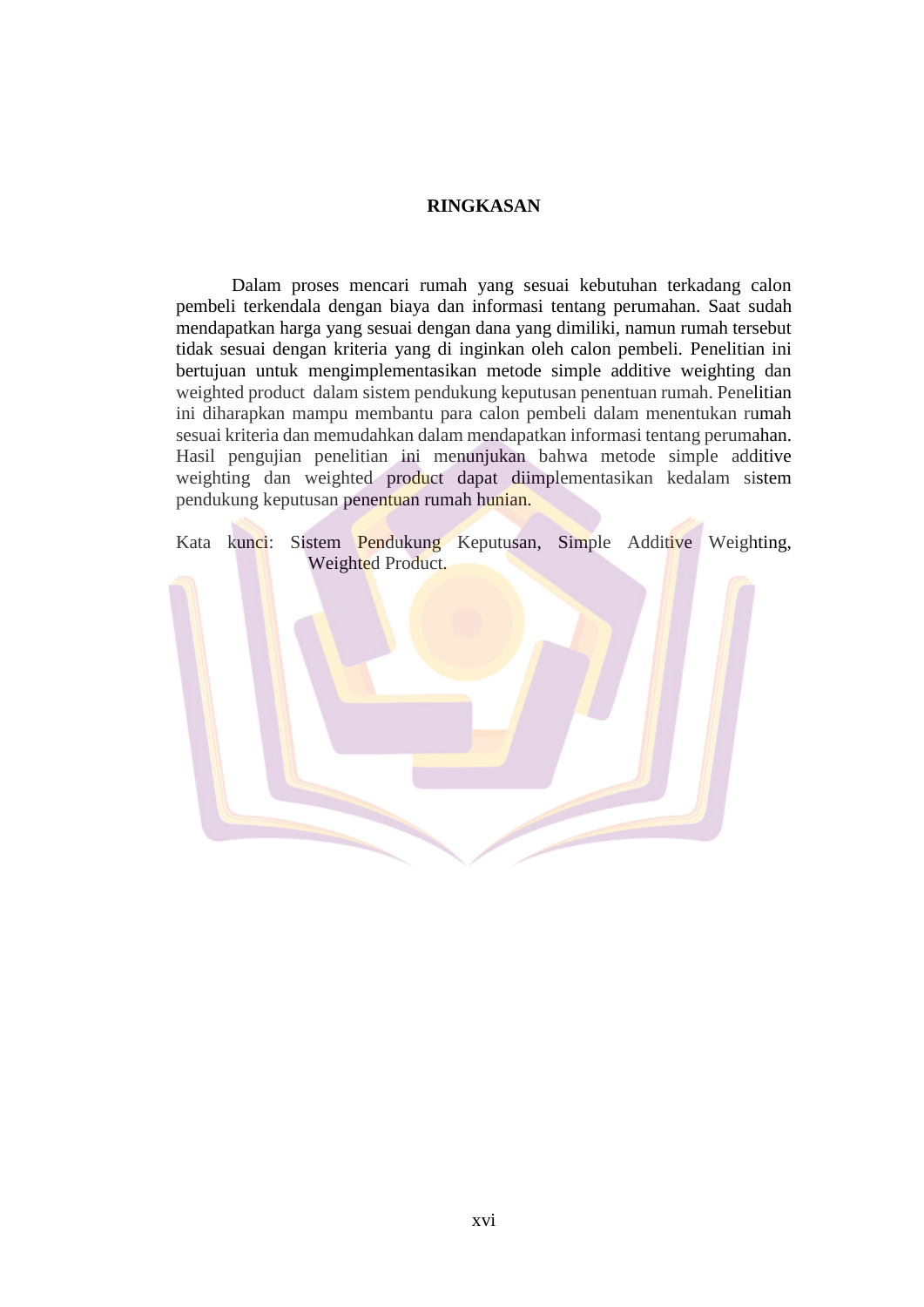## **RINGKASAN**

Dalam proses mencari rumah yang sesuai kebutuhan terkadang calon pembeli terkendala dengan biaya dan informasi tentang perumahan. Saat sudah mendapatkan harga yang sesuai dengan dana yang dimiliki, namun rumah tersebut tidak sesuai dengan kriteria yang di inginkan oleh calon pembeli. Penelitian ini bertujuan untuk mengimplementasikan metode simple additive weighting dan weighted product dalam sistem pendukung keputusan penentuan rumah. Penelitian ini diharapkan mampu membantu para calon pembeli dalam menentukan rumah sesuai kriteria dan memudahkan dalam mendapatkan informasi tentang perumahan. Hasil pengujian penelitian ini menunjukan bahwa metode simple additive weighting dan weighted product dapat diimplementasikan kedalam sistem pendukung keputusan penentuan rumah hunian.